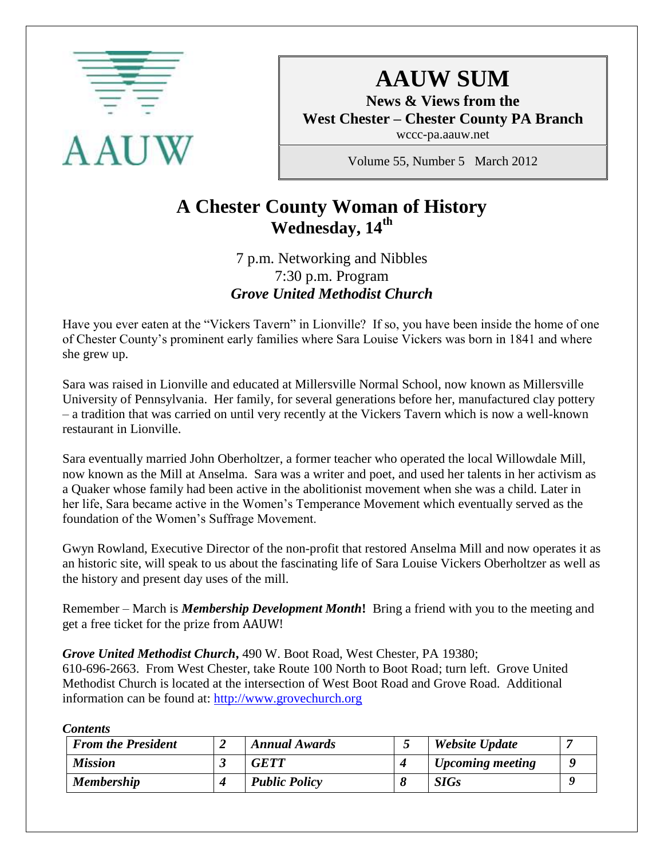

# **AAUW SUM**

**News & Views from the West Chester – Chester County PA Branch**

wccc-pa.aauw.net

Volume 55, Number 5 March 2012

# **A Chester County Woman of History Wednesday, 14th**

7 p.m. Networking and Nibbles 7:30 p.m. Program *Grove United Methodist Church*

Have you ever eaten at the "Vickers Tavern" in Lionville? If so, you have been inside the home of one of Chester County's prominent early families where Sara Louise Vickers was born in 1841 and where she grew up.

Sara was raised in Lionville and educated at Millersville Normal School, now known as Millersville University of Pennsylvania. Her family, for several generations before her, manufactured clay pottery – a tradition that was carried on until very recently at the Vickers Tavern which is now a well-known restaurant in Lionville.

Sara eventually married John Oberholtzer, a former teacher who operated the local Willowdale Mill, now known as the Mill at Anselma. Sara was a writer and poet, and used her talents in her activism as a Quaker whose family had been active in the abolitionist movement when she was a child. Later in her life, Sara became active in the Women's Temperance Movement which eventually served as the foundation of the Women's Suffrage Movement.

Gwyn Rowland, Executive Director of the non-profit that restored Anselma Mill and now operates it as an historic site, will speak to us about the fascinating life of Sara Louise Vickers Oberholtzer as well as the history and present day uses of the mill.

Remember – March is *Membership Development Month***!** Bring a friend with you to the meeting and get a free ticket for the prize from AAUW!

*Grove United Methodist Church***,** 490 W. Boot Road, West Chester, PA 19380;

610-696-2663. From West Chester, take Route 100 North to Boot Road; turn left. Grove United Methodist Church is located at the intersection of West Boot Road and Grove Road. Additional information can be found at: [http://www.grovechurch.org](http://www.grovechurch.org/)

*Contents*

| <b>From the President</b> | <b>Annual Awards</b> | Website Update   |  |
|---------------------------|----------------------|------------------|--|
| <b>Mission</b>            | <b>GETT</b>          | Upcoming meeting |  |
| <b>Membership</b>         | <b>Public Policy</b> | <b>SIGs</b>      |  |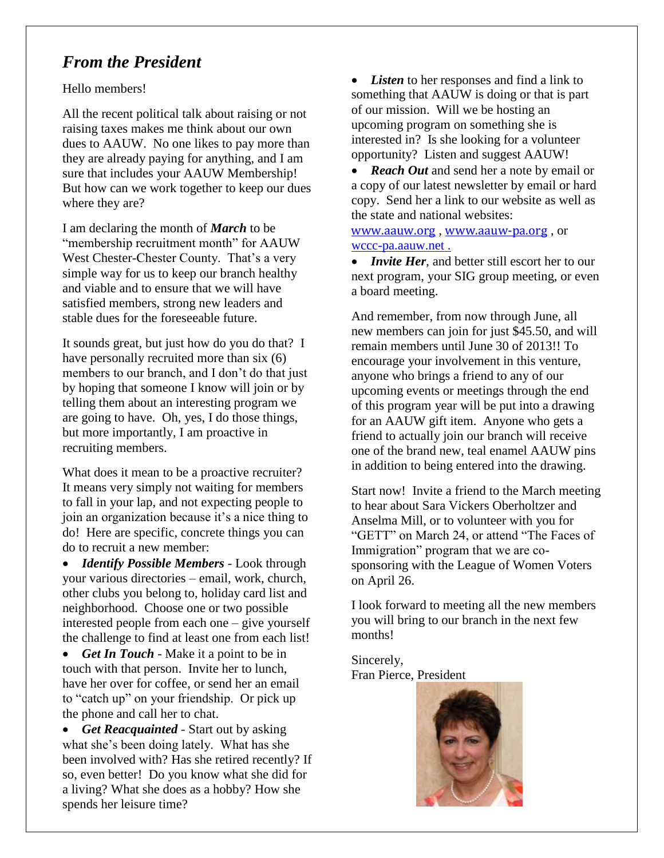### *From the President*

Hello members!

All the recent political talk about raising or not raising taxes makes me think about our own dues to AAUW. No one likes to pay more than they are already paying for anything, and I am sure that includes your AAUW Membership! But how can we work together to keep our dues where they are?

I am declaring the month of *March* to be "membership recruitment month" for AAUW West Chester-Chester County. That's a very simple way for us to keep our branch healthy and viable and to ensure that we will have satisfied members, strong new leaders and stable dues for the foreseeable future.

It sounds great, but just how do you do that? I have personally recruited more than six (6) members to our branch, and I don't do that just by hoping that someone I know will join or by telling them about an interesting program we are going to have. Oh, yes, I do those things, but more importantly, I am proactive in recruiting members.

What does it mean to be a proactive recruiter? It means very simply not waiting for members to fall in your lap, and not expecting people to join an organization because it's a nice thing to do! Here are specific, concrete things you can do to recruit a new member:

 *Identify Possible Members* - Look through your various directories – email, work, church, other clubs you belong to, holiday card list and neighborhood. Choose one or two possible interested people from each one – give yourself the challenge to find at least one from each list!

 *Get In Touch* - Make it a point to be in touch with that person. Invite her to lunch, have her over for coffee, or send her an email to "catch up" on your friendship. Or pick up the phone and call her to chat.

 *Get Reacquainted* - Start out by asking what she's been doing lately. What has she been involved with? Has she retired recently? If so, even better! Do you know what she did for a living? What she does as a hobby? How she spends her leisure time?

*Listen* to her responses and find a link to something that AAUW is doing or that is part of our mission. Will we be hosting an upcoming program on something she is interested in? Is she looking for a volunteer opportunity? Listen and suggest AAUW!

• **Reach Out** and send her a note by email or a copy of our latest newsletter by email or hard copy. Send her a link to our website as well as the state and national websites:

[www.aauw.org](http://www.aauw.org/) , [www.aauw-pa.org](http://www.aauw-pa.org/) , or wccc-pa.aauw.net .

• *Invite Her*, and better still escort her to our next program, your SIG group meeting, or even a board meeting.

And remember, from now through June, all new members can join for just \$45.50, and will remain members until June 30 of 2013!! To encourage your involvement in this venture, anyone who brings a friend to any of our upcoming events or meetings through the end of this program year will be put into a drawing for an AAUW gift item. Anyone who gets a friend to actually join our branch will receive one of the brand new, teal enamel AAUW pins in addition to being entered into the drawing.

Start now! Invite a friend to the March meeting to hear about Sara Vickers Oberholtzer and Anselma Mill, or to volunteer with you for "GETT" on March 24, or attend "The Faces of Immigration" program that we are cosponsoring with the League of Women Voters on April 26.

I look forward to meeting all the new members you will bring to our branch in the next few months!

Sincerely, Fran Pierce, President

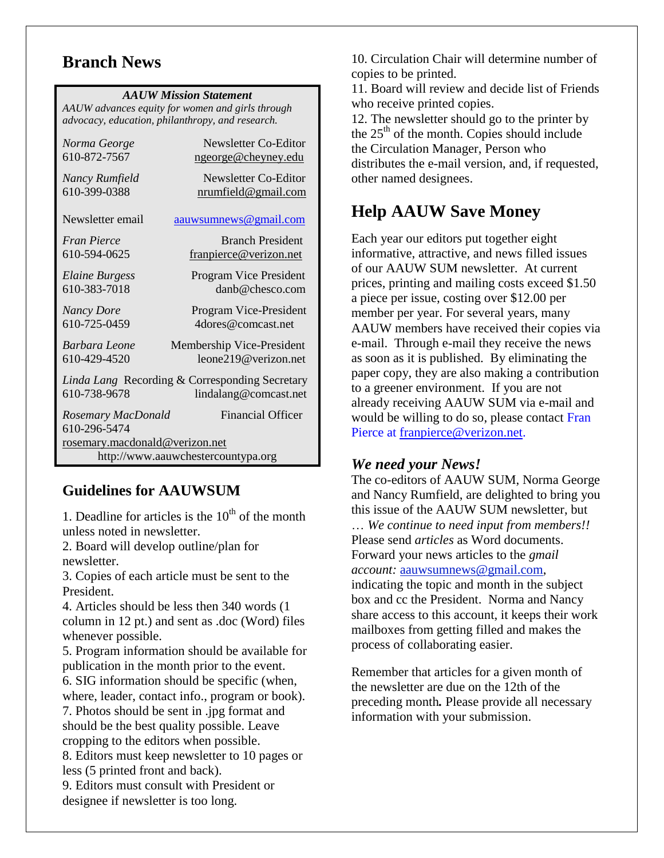### **Branch News**

|  |  | <b>AAUW Mission Statement</b> |
|--|--|-------------------------------|
|--|--|-------------------------------|

*AAUW advances equity for women and girls through advocacy, education, philanthropy, and research.*

| Norma George                                                                            | Newsletter Co-Editor       |  |  |  |
|-----------------------------------------------------------------------------------------|----------------------------|--|--|--|
| 610-872-7567                                                                            | <u>ngeorge@cheyney.edu</u> |  |  |  |
| Nancy Rumfield                                                                          | Newsletter Co-Editor       |  |  |  |
| 610-399-0388                                                                            | nrumfield@gmail.com        |  |  |  |
| Newsletter email                                                                        | aauwsumnews@gmail.com      |  |  |  |
| <b>Fran Pierce</b>                                                                      | <b>Branch President</b>    |  |  |  |
| 610-594-0625                                                                            | franpierce@verizon.net     |  |  |  |
| <b>Elaine Burgess</b>                                                                   | Program Vice President     |  |  |  |
| 610-383-7018                                                                            | $danh@chesc$ com           |  |  |  |
| <b>Nancy Dore</b>                                                                       | Program Vice-President     |  |  |  |
| 610-725-0459                                                                            | 4dores@comcast.net         |  |  |  |
| Barbara Leone                                                                           | Membership Vice-President  |  |  |  |
| 610-429-4520                                                                            | leone219@verizon.net       |  |  |  |
| Linda Lang Recording & Corresponding Secretary<br>610-738-9678<br>lindalang@comcast.net |                            |  |  |  |
| Rosemary MacDonald<br>610-296-5474                                                      | <b>Financial Officer</b>   |  |  |  |
| rosemary.macdonald@verizon.net                                                          |                            |  |  |  |
| http://www.aauwchestercountypa.org                                                      |                            |  |  |  |

### **Guidelines for AAUWSUM**

1. Deadline for articles is the  $10<sup>th</sup>$  of the month unless noted in newsletter.

2. Board will develop outline/plan for newsletter.

3. Copies of each article must be sent to the President.

4. Articles should be less then 340 words (1 column in 12 pt.) and sent as .doc (Word) files whenever possible.

5. Program information should be available for publication in the month prior to the event.

6. SIG information should be specific (when, where, leader, contact info., program or book).

7. Photos should be sent in .jpg format and should be the best quality possible. Leave cropping to the editors when possible.

8. Editors must keep newsletter to 10 pages or less (5 printed front and back).

9. Editors must consult with President or designee if newsletter is too long.

10. Circulation Chair will determine number of copies to be printed.

11. Board will review and decide list of Friends who receive printed copies.

12. The newsletter should go to the printer by the  $25<sup>th</sup>$  of the month. Copies should include the Circulation Manager, Person who distributes the e-mail version, and, if requested, other named designees.

# **Help AAUW Save Money**

Each year our editors put together eight informative, attractive, and news filled issues of our AAUW SUM newsletter. At current prices, printing and mailing costs exceed \$1.50 a piece per issue, costing over \$12.00 per member per year. For several years, many AAUW members have received their copies via e-mail. Through e-mail they receive the news as soon as it is published. By eliminating the paper copy, they are also making a contribution to a greener environment. If you are not already receiving AAUW SUM via e-mail and would be willing to do so, please contact Fran Pierce at [franpierce@verizon.net.](mailto:franpierce@verizon.net)

### *We need your News!*

The co-editors of AAUW SUM, Norma George and Nancy Rumfield, are delighted to bring you this issue of the AAUW SUM newsletter, but … *We continue to need input from members!!* Please send *articles* as Word documents. Forward your news articles to the *gmail account:* [aauwsumnews@gmail.com,](mailto:aauwsum@gmail.com) indicating the topic and month in the subject box and cc the President. Norma and Nancy share access to this account, it keeps their work mailboxes from getting filled and makes the process of collaborating easier.

Remember that articles for a given month of the newsletter are due on the 12th of the preceding month*.* Please provide all necessary information with your submission.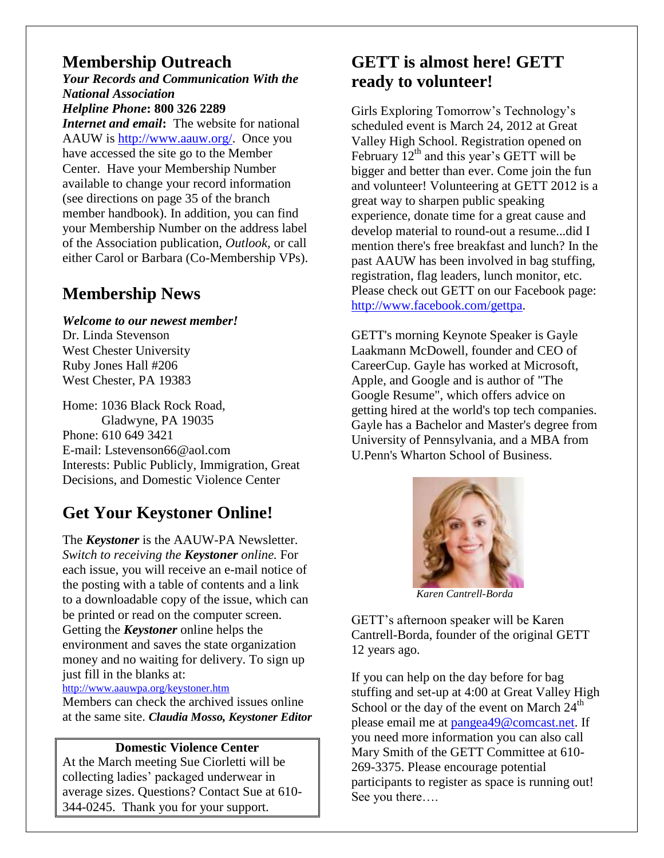### **Membership Outreach**

*Your Records and Communication With the National Association Helpline Phone***: 800 326 2289** *Internet and email***:** The website for national AAUW is [http://www.aauw.org/.](http://www.aauw.org/) Once you have accessed the site go to the Member Center. Have your Membership Number available to change your record information (see directions on page 35 of the branch member handbook). In addition, you can find your Membership Number on the address label of the Association publication, *Outlook,* or call either Carol or Barbara (Co-Membership VPs).

# **Membership News**

*Welcome to our newest member!* Dr. Linda Stevenson West Chester University Ruby Jones Hall #206 West Chester, PA 19383

Home: 1036 Black Rock Road, Gladwyne, PA 19035 Phone: 610 649 3421 E-mail: Lstevenson66@aol.com Interests: Public Publicly, Immigration, Great Decisions, and Domestic Violence Center

# **Get Your Keystoner Online!**

The *Keystoner* is the AAUW-PA Newsletter. *Switch to receiving the Keystoner online.* For each issue, you will receive an e-mail notice of the posting with a table of contents and a link to a downloadable copy of the issue, which can be printed or read on the computer screen. Getting the *Keystoner* online helps the environment and saves the state organization money and no waiting for delivery. To sign up just fill in the blanks at:

<http://www.aauwpa.org/keystoner.htm>

Members can check the archived issues online at the same site. *Claudia Mosso, Keystoner Editor*

#### **Domestic Violence Center**

At the March meeting Sue Ciorletti will be collecting ladies' packaged underwear in average sizes. Questions? Contact Sue at 610- 344-0245. Thank you for your support.

# **GETT is almost here! GETT ready to volunteer!**

Girls Exploring Tomorrow's Technology's scheduled event is March 24, 2012 at Great Valley High School. Registration opened on February  $12<sup>th</sup>$  and this year's GETT will be bigger and better than ever. Come join the fun and volunteer! Volunteering at GETT 2012 is a great way to sharpen public speaking experience, donate time for a great cause and develop material to round-out a resume...did I mention there's free breakfast and lunch? In the past AAUW has been involved in bag stuffing, registration, flag leaders, lunch monitor, etc. Please check out GETT on our Facebook page: [http://www.facebook.com/gettpa.](http://www.facebook.com/gettpa)

GETT's morning Keynote Speaker is Gayle Laakmann McDowell, founder and CEO of CareerCup. Gayle has worked at Microsoft, Apple, and Google and is author of "The Google Resume", which offers advice on getting hired at the world's top tech companies. Gayle has a Bachelor and Master's degree from University of Pennsylvania, and a MBA from U.Penn's Wharton School of Business.



 *Karen Cantrell-Borda*

GETT's afternoon speaker will be Karen Cantrell-Borda, founder of the original GETT 12 years ago.

If you can help on the day before for bag stuffing and set-up at 4:00 at Great Valley High School or the day of the event on March  $24<sup>th</sup>$ please email me at [pangea49@comcast.net.](mailto:pangea49@comcast.net) If you need more information you can also call Mary Smith of the GETT Committee at 610- 269-3375. Please encourage potential participants to register as space is running out! See you there….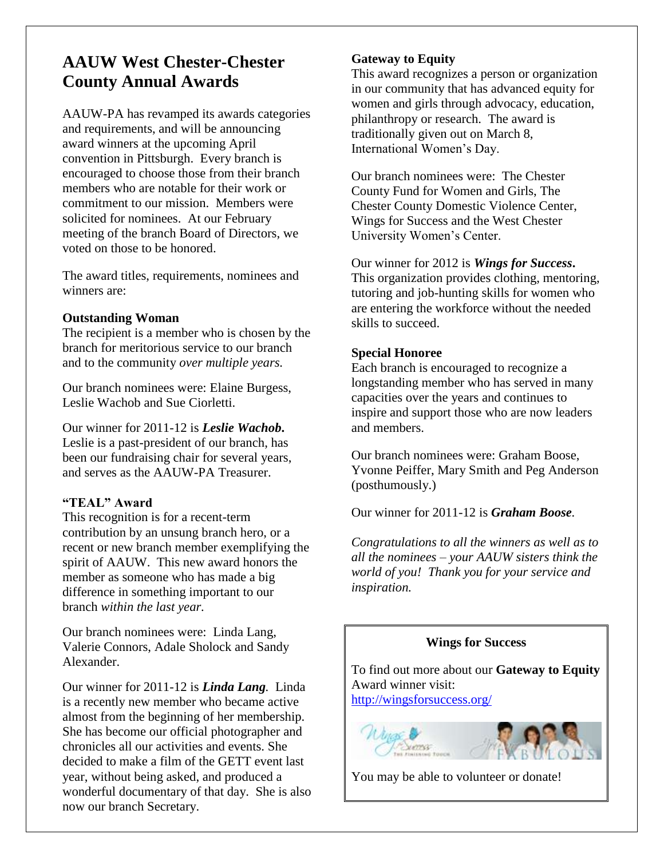# **AAUW West Chester-Chester County Annual Awards**

AAUW-PA has revamped its awards categories and requirements, and will be announcing award winners at the upcoming April convention in Pittsburgh. Every branch is encouraged to choose those from their branch members who are notable for their work or commitment to our mission. Members were solicited for nominees. At our February meeting of the branch Board of Directors, we voted on those to be honored.

The award titles, requirements, nominees and winners are:

#### **Outstanding Woman**

The recipient is a member who is chosen by the branch for meritorious service to our branch and to the community *over multiple years.*

Our branch nominees were: Elaine Burgess, Leslie Wachob and Sue Ciorletti.

Our winner for 2011-12 is *Leslie Wachob***.** Leslie is a past-president of our branch, has been our fundraising chair for several years, and serves as the AAUW-PA Treasurer.

#### **"TEAL" Award**

This recognition is for a recent-term contribution by an unsung branch hero, or a recent or new branch member exemplifying the spirit of AAUW. This new award honors the member as someone who has made a big difference in something important to our branch *within the last year.*

Our branch nominees were: Linda Lang, Valerie Connors, Adale Sholock and Sandy Alexander.

Our winner for 2011-12 is *Linda Lang.* Linda is a recently new member who became active almost from the beginning of her membership. She has become our official photographer and chronicles all our activities and events. She decided to make a film of the GETT event last year, without being asked, and produced a wonderful documentary of that day. She is also now our branch Secretary.

#### **Gateway to Equity**

This award recognizes a person or organization in our community that has advanced equity for women and girls through advocacy, education, philanthropy or research. The award is traditionally given out on March 8, International Women's Day.

Our branch nominees were: The Chester County Fund for Women and Girls, The Chester County Domestic Violence Center, Wings for Success and the West Chester University Women's Center.

Our winner for 2012 is *Wings for Success***.** This organization provides clothing, mentoring, tutoring and job-hunting skills for women who are entering the workforce without the needed skills to succeed.

#### **Special Honoree**

Each branch is encouraged to recognize a longstanding member who has served in many capacities over the years and continues to inspire and support those who are now leaders and members.

Our branch nominees were: Graham Boose, Yvonne Peiffer, Mary Smith and Peg Anderson (posthumously.)

Our winner for 2011-12 is *Graham Boose.* 

*Congratulations to all the winners as well as to all the nominees – your AAUW sisters think the world of you! Thank you for your service and inspiration.*

#### **Wings for Success**

To find out more about our **Gateway to Equity** Award winner visit: <http://wingsforsuccess.org/>



You may be able to volunteer or donate!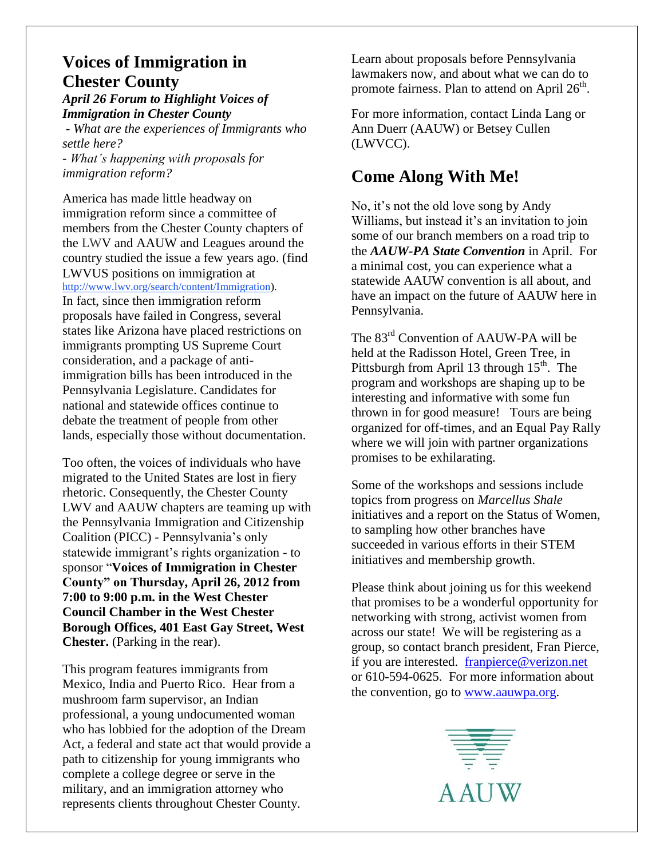### **Voices of Immigration in Chester County**

*April 26 Forum to Highlight Voices of Immigration in Chester County* 

*- What are the experiences of Immigrants who settle here? - What's happening with proposals for immigration reform?*

America has made little headway on immigration reform since a committee of members from the Chester County chapters of the LWV and AAUW and Leagues around the country studied the issue a few years ago. (find LWVUS positions on immigration at [http://www.lwv.org/search/content/Immigration\)](http://www.lwv.org/search/content/Immigration). In fact, since then immigration reform proposals have failed in Congress, several states like Arizona have placed restrictions on immigrants prompting US Supreme Court consideration, and a package of antiimmigration bills has been introduced in the Pennsylvania Legislature. Candidates for national and statewide offices continue to debate the treatment of people from other lands, especially those without documentation.

Too often, the voices of individuals who have migrated to the United States are lost in fiery rhetoric. Consequently, the Chester County LWV and AAUW chapters are teaming up with the Pennsylvania Immigration and Citizenship Coalition (PICC) - Pennsylvania's only statewide immigrant's rights organization - to sponsor "**Voices of Immigration in Chester County" on Thursday, April 26, 2012 from 7:00 to 9:00 p.m. in the West Chester Council Chamber in the West Chester Borough Offices, 401 East Gay Street, West Chester.** (Parking in the rear).

This program features immigrants from Mexico, India and Puerto Rico. Hear from a mushroom farm supervisor, an Indian professional, a young undocumented woman who has lobbied for the adoption of the Dream Act, a federal and state act that would provide a path to citizenship for young immigrants who complete a college degree or serve in the military, and an immigration attorney who represents clients throughout Chester County.

Learn about proposals before Pennsylvania lawmakers now, and about what we can do to promote fairness. Plan to attend on April 26<sup>th</sup>.

For more information, contact Linda Lang or Ann Duerr (AAUW) or Betsey Cullen (LWVCC).

### **Come Along With Me!**

No, it's not the old love song by Andy Williams, but instead it's an invitation to join some of our branch members on a road trip to the *AAUW-PA State Convention* in April. For a minimal cost, you can experience what a statewide AAUW convention is all about, and have an impact on the future of AAUW here in Pennsylvania.

The 83<sup>rd</sup> Convention of AAUW-PA will be held at the Radisson Hotel, Green Tree, in Pittsburgh from April 13 through  $15<sup>th</sup>$ . The program and workshops are shaping up to be interesting and informative with some fun thrown in for good measure! Tours are being organized for off-times, and an Equal Pay Rally where we will join with partner organizations promises to be exhilarating.

Some of the workshops and sessions include topics from progress on *Marcellus Shale*  initiatives and a report on the Status of Women, to sampling how other branches have succeeded in various efforts in their STEM initiatives and membership growth.

Please think about joining us for this weekend that promises to be a wonderful opportunity for networking with strong, activist women from across our state! We will be registering as a group, so contact branch president, Fran Pierce, if you are interested. [franpierce@verizon.net](mailto:franpierce@verizon.net) or 610-594-0625. For more information about the convention, go to [www.aauwpa.org.](http://www.aauwpa.org/)

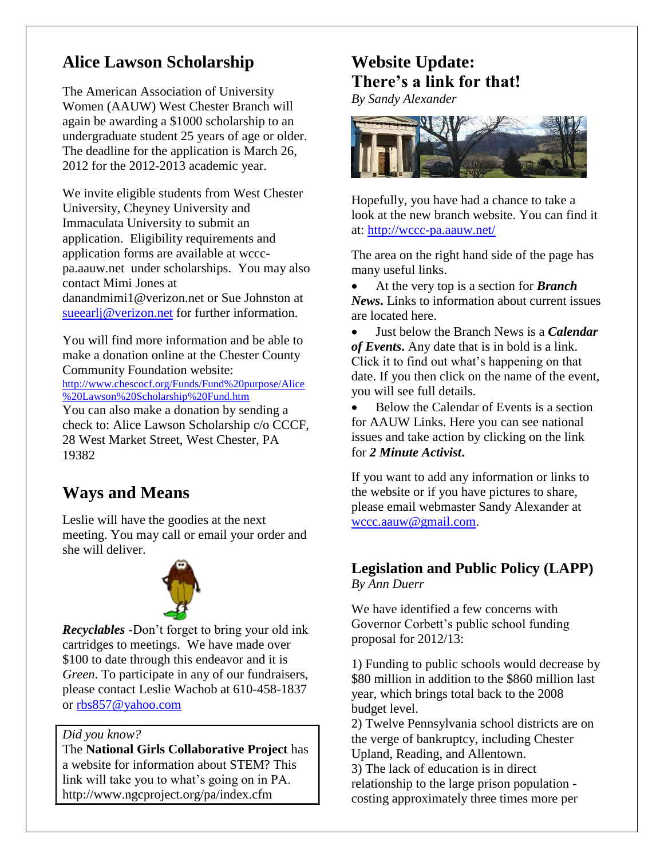# **Alice Lawson Scholarship**

The American Association of University Women (AAUW) West Chester Branch will again be awarding a \$1000 scholarship to an undergraduate student 25 years of age or older. The deadline for the application is March 26, 2012 for the 2012-2013 academic year.

We invite eligible students from West Chester University, Cheyney University and Immaculata University to submit an application. Eligibility requirements and application forms are available at wcccpa.aauw.net under scholarships. You may also contact Mimi Jones at danandmimi1@verizon.net or Sue Johnston at [sueearlj@verizon.net](mailto:sueearlj@verizon.net) for further information.

You will find more information and be able to make a donation online at the Chester County Community Foundation website: [http://www.chescocf.org/Funds/Fund%20purpose/Alice](http://www.chescocf.org/Funds/Fund%20purpose/Alice%20Lawson%20Scholarship%20Fund.htm)

[%20Lawson%20Scholarship%20Fund.htm](http://www.chescocf.org/Funds/Fund%20purpose/Alice%20Lawson%20Scholarship%20Fund.htm)

You can also make a donation by sending a check to: Alice Lawson Scholarship c/o CCCF, 28 West Market Street, West Chester, PA 19382

# **Ways and Means**

Leslie will have the goodies at the next meeting. You may call or email your order and she will deliver.



*Recyclables -*Don't forget to bring your old ink cartridges to meetings. We have made over \$100 to date through this endeavor and it is *Green*. To participate in any of our fundraisers, please contact Leslie Wachob at 610-458-1837 or [rbs857@yahoo.com](mailto:rbs857@yahoo.com)

*Did you know?*

The **National Girls Collaborative Project** has a website for information about STEM? This link will take you to what's going on in PA. http://www.ngcproject.org/pa/index.cfm

# **Website Update: There's a link for that!**

*By Sandy Alexander*



Hopefully, you have had a chance to take a look at the new branch website. You can find it at: http://wccc-pa.aauw.net/

The area on the right hand side of the page has many useful links.

 At the very top is a section for *Branch News***.** Links to information about current issues are located here.

 Just below the Branch News is a *Calendar of Events***.** Any date that is in bold is a link. Click it to find out what's happening on that date. If you then click on the name of the event, you will see full details.

• Below the Calendar of Events is a section for AAUW Links. Here you can see national issues and take action by clicking on the link for *2 Minute Activist***.**

If you want to add any information or links to the website or if you have pictures to share, please email webmaster Sandy Alexander at [wccc.aauw@gmail.com.](mailto:wccc.aauw@gmail.com)

### **Legislation and Public Policy (LAPP)** *By Ann Duerr*

We have identified a few concerns with Governor Corbett's public school funding proposal for 2012/13:

1) Funding to public schools would decrease by \$80 million in addition to the \$860 million last year, which brings total back to the 2008 budget level.

2) Twelve Pennsylvania school districts are on the verge of bankruptcy, including Chester Upland, Reading, and Allentown.

3) The lack of education is in direct relationship to the large prison population costing approximately three times more per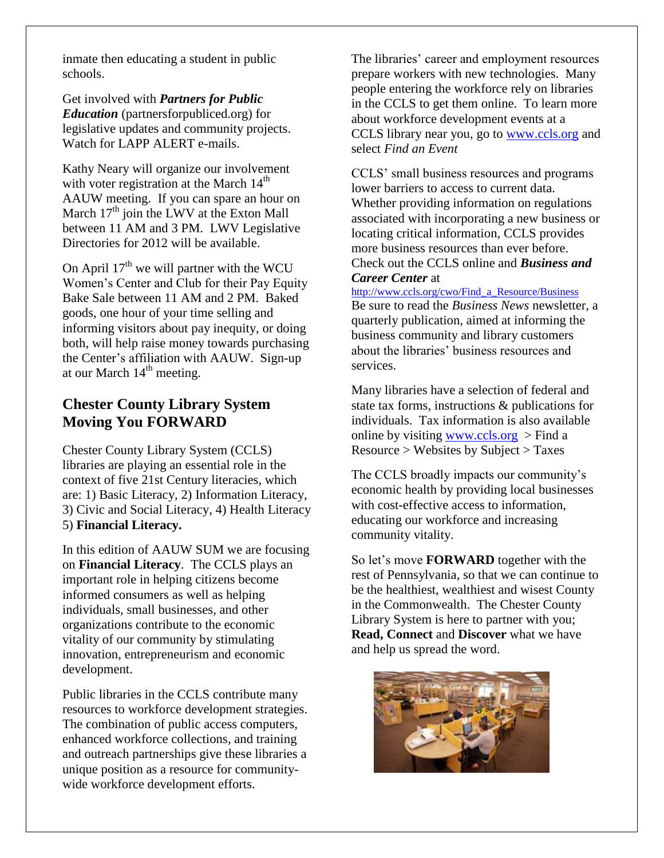inmate then educating a student in public schools.

Get involved with *Partners for Public Education* (partnersforpubliced.org) for legislative updates and community projects. Watch for LAPP ALERT e-mails.

Kathy Neary will organize our involvement with voter registration at the March  $14<sup>th</sup>$ AAUW meeting. If you can spare an hour on March  $17<sup>th</sup>$  join the LWV at the Exton Mall between 11 AM and 3 PM. LWV Legislative Directories for 2012 will be available.

On April  $17<sup>th</sup>$  we will partner with the WCU Women's Center and Club for their Pay Equity Bake Sale between 11 AM and 2 PM. Baked goods, one hour of your time selling and informing visitors about pay inequity, or doing both, will help raise money towards purchasing the Center's affiliation with AAUW. Sign-up at our March  $14<sup>th</sup>$  meeting.

### **Chester County Library System Moving You FORWARD**

Chester County Library System (CCLS) libraries are playing an essential role in the context of five 21st Century literacies, which are: 1) Basic Literacy, 2) Information Literacy, 3) Civic and Social Literacy, 4) Health Literacy 5) **Financial Literacy.**

In this edition of AAUW SUM we are focusing on **Financial Literacy**. The CCLS plays an important role in helping citizens become informed consumers as well as helping individuals, small businesses, and other organizations contribute to the economic vitality of our community by stimulating innovation, entrepreneurism and economic development.

Public libraries in the CCLS contribute many resources to workforce development strategies. The combination of public access computers, enhanced workforce collections, and training and outreach partnerships give these libraries a unique position as a resource for communitywide workforce development efforts.

The libraries' career and employment resources prepare workers with new technologies. Many people entering the workforce rely on libraries in the CCLS to get them online. To learn more about workforce development events at a CCLS library near you, go to [www.ccls.org](http://www.ccls.org/) and select *Find an Event*

CCLS' small business resources and programs lower barriers to access to current data. Whether providing information on regulations associated with incorporating a new business or locating critical information, CCLS provides more business resources than ever before. Check out the CCLS online and *Business and Career Center* at

[http://www.ccls.org/cwo/Find\\_a\\_Resource/Business](http://www.ccls.org/cwo/Find_a_Resource/Business) Be sure to read the *Business News* newsletter, a quarterly publication, aimed at informing the business community and library customers about the libraries' business resources and services.

Many libraries have a selection of federal and state tax forms, instructions & publications for individuals. Tax information is also available online by visiting [www.ccls.org](http://www.ccls.org/)  $>$  Find a Resource > Websites by Subject > Taxes

The CCLS broadly impacts our community's economic health by providing local businesses with cost-effective access to information, educating our workforce and increasing community vitality.

So let's move **FORWARD** together with the rest of Pennsylvania, so that we can continue to be the healthiest, wealthiest and wisest County in the Commonwealth. The Chester County Library System is here to partner with you; **Read, Connect** and **Discover** what we have and help us spread the word.

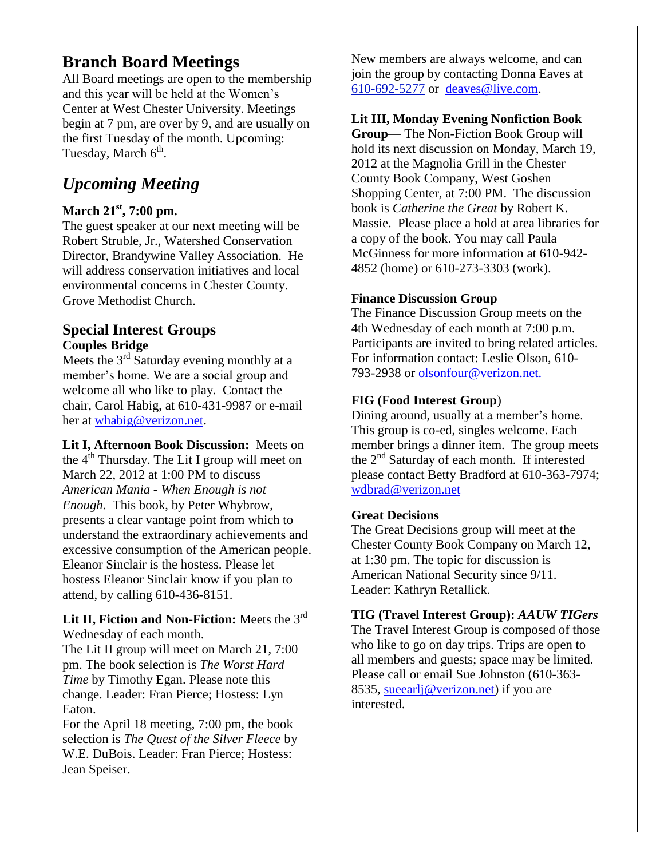### **Branch Board Meetings**

All Board meetings are open to the membership and this year will be held at the Women's Center at West Chester University. Meetings begin at 7 pm, are over by 9, and are usually on the first Tuesday of the month. Upcoming: Tuesday, March  $6<sup>th</sup>$ .

# *Upcoming Meeting*

### **March 21st, 7:00 pm.**

The guest speaker at our next meeting will be Robert Struble, Jr., Watershed Conservation Director, Brandywine Valley Association. He will address conservation initiatives and local environmental concerns in Chester County. Grove Methodist Church.

#### **Special Interest Groups Couples Bridge**

Meets the  $3<sup>rd</sup>$  Saturday evening monthly at a member's home. We are a social group and welcome all who like to play. Contact the chair, Carol Habig, at 610-431-9987 or e-mail her at [whabig@verizon.net.](mailto:whabig@verizon.net)

**Lit I, Afternoon Book Discussion:** Meets on the  $4<sup>th</sup>$  Thursday. The Lit I group will meet on March 22, 2012 at 1:00 PM to discuss *American Mania - When Enough is not Enough*. This book, by Peter Whybrow, presents a clear vantage point from which to understand the extraordinary achievements and excessive consumption of the American people. Eleanor Sinclair is the hostess. Please let hostess Eleanor Sinclair know if you plan to attend, by calling 610-436-8151.

#### Lit II, Fiction and Non-Fiction: Meets the 3<sup>rd</sup> Wednesday of each month.

The Lit II group will meet on March 21, 7:00 pm. The book selection is *The Worst Hard Time* by Timothy Egan. Please note this change. Leader: Fran Pierce; Hostess: Lyn Eaton.

For the April 18 meeting, 7:00 pm, the book selection is *The Quest of the Silver Fleece* by W.E. DuBois. Leader: Fran Pierce; Hostess: Jean Speiser.

New members are always welcome, and can join the group by contacting Donna Eaves at [610-692-5277](tel:/610-692-5277) or [deaves@live.com.](mailto:deaves@live.com)

#### **Lit III, Monday Evening Nonfiction Book**

**Group**— The Non-Fiction Book Group will hold its next discussion on Monday, March 19, 2012 at the Magnolia Grill in the Chester County Book Company, West Goshen Shopping Center, at 7:00 PM. The discussion book is *Catherine the Great* by Robert K. Massie. Please place a hold at area libraries for a copy of the book. You may call Paula McGinness for more information at 610-942- 4852 (home) or 610-273-3303 (work).

#### **Finance Discussion Group**

The Finance Discussion Group meets on the 4th Wednesday of each month at 7:00 p.m. Participants are invited to bring related articles. For information contact: Leslie Olson, 610- 793-2938 or olsonfour@verizon.net.

#### **FIG (Food Interest Group**)

Dining around, usually at a member's home. This group is co-ed, singles welcome. Each member brings a dinner item. The group meets the 2<sup>nd</sup> Saturday of each month. If interested please contact Betty Bradford at 610-363-7974; [wdbrad@verizon.net](mailto:wdbrad@verizon.net)

#### **Great Decisions**

The Great Decisions group will meet at the Chester County Book Company on March 12, at 1:30 pm. The topic for discussion is American National Security since 9/11. Leader: Kathryn Retallick.

#### **TIG (Travel Interest Group):** *AAUW TIGers*

The Travel Interest Group is composed of those who like to go on day trips. Trips are open to all members and guests; space may be limited. Please call or email Sue Johnston (610-363- 8535, sueearlj@verizon.net) if you are interested.